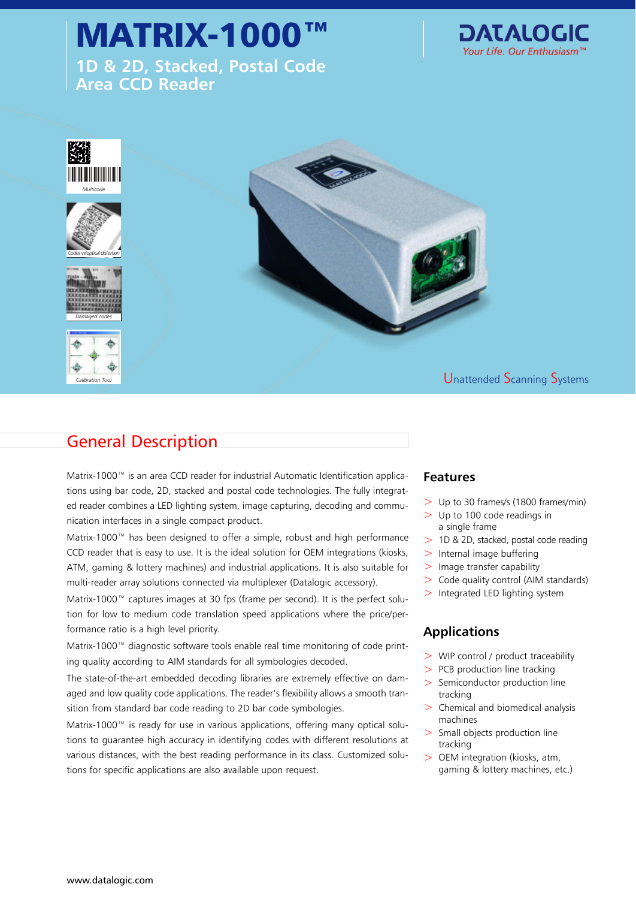# MATRIX-1000

**1D & 2D, Stacked, Postal Code Area CCD Reader**





## General Description

Matrix-1000™ is an area CCD reader for industrial Automatic Identification applica- **Features** tions using bar code, 2D, stacked and postal code technologies. The fully integrated reader combines a LED lighting system, image capturing, decoding and communication interfaces in a single compact product.

Matrix-1000™ has been designed to offer a simple, robust and high performance CCD reader that is easy to use. It is the ideal solution for OEM integrations (kiosks, ATM, gaming & lottery machines) and industrial applications. It is also suitable for multi-reader array solutions connected via multiplexer (Datalogic accessory).

Matrix-1000™ captures images at 30 fps (frame per second). It is the perfect solution for low to medium code translation speed applications where the price/performance ratio is a high level priority.

Matrix-1000™ diagnostic software tools enable real time monitoring of code printing quality according to AIM standards for all symbologies decoded.

The state-of-the-art embedded decoding libraries are extremely effective on damaged and low quality code applications. The reader's flexibility allows a smooth transition from standard bar code reading to 2D bar code symbologies.

Matrix-1000™ is ready for use in various applications, offering many optical solutions to guarantee high accuracy in identifying codes with different resolutions at various distances, with the best reading performance in its class. Customized solutions for specific applications are also available upon request.

- > Up to 30 frames/s (1800 frames/min)
- $>$  Up to 100 code readings in a single frame
- > 1D & 2D, stacked, postal code reading
- > Internal image buffering
- $>$  Image transfer capability
- > Code quality control (AIM standards)
- $>$  Integrated LED lighting system

#### **Applications**

- > WIP control / product traceability
- > PCB production line tracking
- > Semiconductor production line tracking
- $>$  Chemical and biomedical analysis machines
- > Small objects production line tracking
- > OEM integration (kiosks, atm, gaming & lottery machines, etc.)